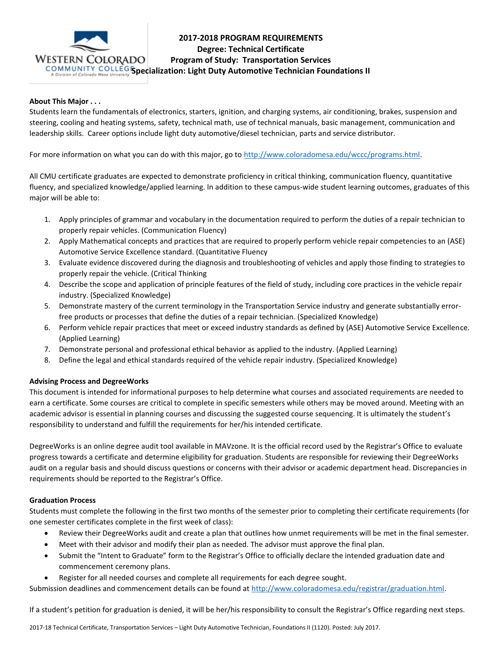

# **2017-2018 PROGRAM REQUIREMENTS Degree: Technical Certificate Program of Study: Transportation Services COMMUNITY COLLEGISpecialization: Light Duty Automotive Technician Foundations II**

### **About This Major . . .**

Students learn the fundamentals of electronics, starters, ignition, and charging systems, air conditioning, brakes, suspension and steering, cooling and heating systems, safety, technical math, use of technical manuals, basic management, communication and leadership skills. Career options include light duty automotive/diesel technician, parts and service distributor.

For more information on what you can do with this major, go to [http://www.coloradomesa.edu/wccc/programs.html.](http://www.coloradomesa.edu/wccc/programs.html)

All CMU certificate graduates are expected to demonstrate proficiency in critical thinking, communication fluency, quantitative fluency, and specialized knowledge/applied learning. In addition to these campus-wide student learning outcomes, graduates of this major will be able to:

- 1. Apply principles of grammar and vocabulary in the documentation required to perform the duties of a repair technician to properly repair vehicles. (Communication Fluency)
- 2. Apply Mathematical concepts and practices that are required to properly perform vehicle repair competencies to an (ASE) Automotive Service Excellence standard. (Quantitative Fluency
- 3. Evaluate evidence discovered during the diagnosis and troubleshooting of vehicles and apply those finding to strategies to properly repair the vehicle. (Critical Thinking
- 4. Describe the scope and application of principle features of the field of study, including core practices in the vehicle repair industry. (Specialized Knowledge)
- 5. Demonstrate mastery of the current terminology in the Transportation Service industry and generate substantially errorfree products or processes that define the duties of a repair technician. (Specialized Knowledge)
- 6. Perform vehicle repair practices that meet or exceed industry standards as defined by (ASE) Automotive Service Excellence. (Applied Learning)
- 7. Demonstrate personal and professional ethical behavior as applied to the industry. (Applied Learning)
- 8. Define the legal and ethical standards required of the vehicle repair industry. (Specialized Knowledge)

### **Advising Process and DegreeWorks**

This document is intended for informational purposes to help determine what courses and associated requirements are needed to earn a certificate. Some courses are critical to complete in specific semesters while others may be moved around. Meeting with an academic advisor is essential in planning courses and discussing the suggested course sequencing. It is ultimately the student's responsibility to understand and fulfill the requirements for her/his intended certificate.

DegreeWorks is an online degree audit tool available in MAVzone. It is the official record used by the Registrar's Office to evaluate progress towards a certificate and determine eligibility for graduation. Students are responsible for reviewing their DegreeWorks audit on a regular basis and should discuss questions or concerns with their advisor or academic department head. Discrepancies in requirements should be reported to the Registrar's Office.

### **Graduation Process**

Students must complete the following in the first two months of the semester prior to completing their certificate requirements (for one semester certificates complete in the first week of class):

- Review their DegreeWorks audit and create a plan that outlines how unmet requirements will be met in the final semester.
- Meet with their advisor and modify their plan as needed. The advisor must approve the final plan.
- Submit the "Intent to Graduate" form to the Registrar's Office to officially declare the intended graduation date and commencement ceremony plans.
- Register for all needed courses and complete all requirements for each degree sought.

Submission deadlines and commencement details can be found at [http://www.coloradomesa.edu/registrar/graduation.html.](http://www.coloradomesa.edu/registrar/graduation.html)

If a student's petition for graduation is denied, it will be her/his responsibility to consult the Registrar's Office regarding next steps.

2017-18 Technical Certificate, Transportation Services – Light Duty Automotive Technician, Foundations II (1120). Posted: July 2017.